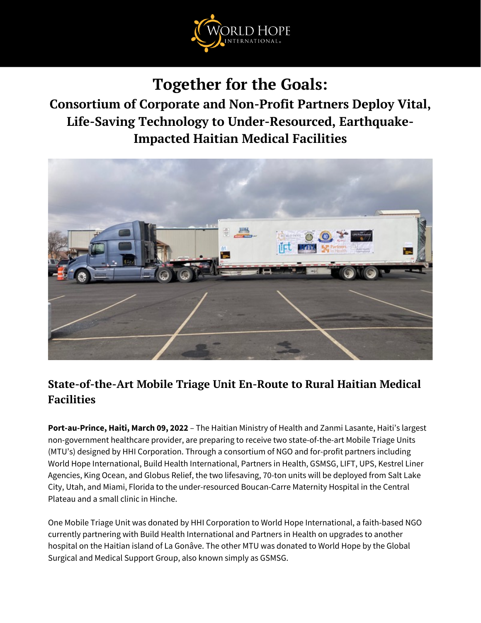

**Together for the Goals:**

**Consortium of Corporate and Non-Profit Partners Deploy Vital, Life-Saving Technology to Under-Resourced, Earthquake-Impacted Haitian Medical Facilities**



# **State-of-the-Art Mobile Triage Unit En-Route to Rural Haitian Medical Facilities**

**Port-au-Prince, Haiti, March 09, 2022** – The Haitian Ministry of Health and Zanmi Lasante, Haiti's largest non-government healthcare provider, are preparing to receive two state-of-the-art Mobile Triage Units (MTU's) designed by HHI Corporation. Through a consortium of NGO and for-profit partners including World Hope International, Build Health International, Partners in Health, GSMSG, LIFT, UPS, Kestrel Liner Agencies, King Ocean, and Globus Relief, the two lifesaving, 70-ton units will be deployed from Salt Lake City, Utah, and Miami, Florida to the under-resourced Boucan-Carre Maternity Hospital in the Central Plateau and a small clinic in Hinche.

One Mobile Triage Unit was donated by HHI Corporation to World Hope International, a faith-based NGO currently partnering with Build Health International and Partners in Health on upgrades to another hospital on the Haitian island of La Gonâve. The other MTU was donated to World Hope by the Global Surgical and Medical Support Group, also known simply as GSMSG.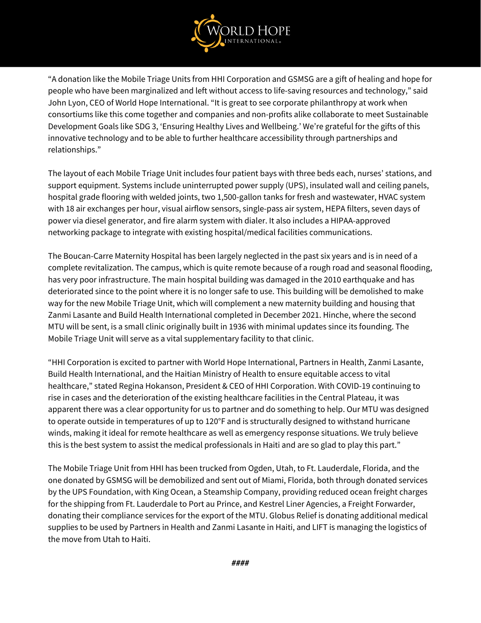

"A donation like the Mobile Triage Units from HHI Corporation and GSMSG are a gift of healing and hope for people who have been marginalized and left without access to life-saving resources and technology," said John Lyon, CEO of World Hope International. "It is great to see corporate philanthropy at work when consortiums like this come together and companies and non-profits alike collaborate to meet Sustainable Development Goals like SDG 3, 'Ensuring Healthy Lives and Wellbeing.' We're grateful for the gifts of this innovative technology and to be able to further healthcare accessibility through partnerships and relationships."

The layout of each Mobile Triage Unit includes four patient bays with three beds each, nurses' stations, and support equipment. Systems include uninterrupted power supply (UPS), insulated wall and ceiling panels, hospital grade flooring with welded joints, two 1,500-gallon tanks for fresh and wastewater, HVAC system with 18 air exchanges per hour, visual airflow sensors, single-pass air system, HEPA filters, seven days of power via diesel generator, and fire alarm system with dialer. It also includes a HIPAA-approved networking package to integrate with existing hospital/medical facilities communications.

The Boucan-Carre Maternity Hospital has been largely neglected in the past six years and is in need of a complete revitalization. The campus, which is quite remote because of a rough road and seasonal flooding, has very poor infrastructure. The main hospital building was damaged in the 2010 earthquake and has deteriorated since to the point where it is no longer safe to use. This building will be demolished to make way for the new Mobile Triage Unit, which will complement a new maternity building and housing that Zanmi Lasante and Build Health International completed in December 2021. Hinche, where the second MTU will be sent, is a small clinic originally built in 1936 with minimal updates since its founding. The Mobile Triage Unit will serve as a vital supplementary facility to that clinic.

"HHI Corporation is excited to partner with World Hope International, Partners in Health, Zanmi Lasante, Build Health International, and the Haitian Ministry of Health to ensure equitable access to vital healthcare," stated Regina Hokanson, President & CEO of HHI Corporation. With COVID-19 continuing to rise in cases and the deterioration of the existing healthcare facilities in the Central Plateau, it was apparent there was a clear opportunity for us to partner and do something to help. Our MTU was designed to operate outside in temperatures of up to 120°F and is structurally designed to withstand hurricane winds, making it ideal for remote healthcare as well as emergency response situations. We truly believe this is the best system to assist the medical professionals in Haiti and are so glad to play this part."

The Mobile Triage Unit from HHI has been trucked from Ogden, Utah, to Ft. Lauderdale, Florida, and the one donated by GSMSG will be demobilized and sent out of Miami, Florida, both through donated services by the UPS Foundation, with King Ocean, a Steamship Company, providing reduced ocean freight charges for the shipping from Ft. Lauderdale to Port au Prince, and Kestrel Liner Agencies, a Freight Forwarder, donating their compliance services for the export of the MTU. Globus Relief is donating additional medical supplies to be used by Partners in Health and Zanmi Lasante in Haiti, and LIFT is managing the logistics of the move from Utah to Haiti.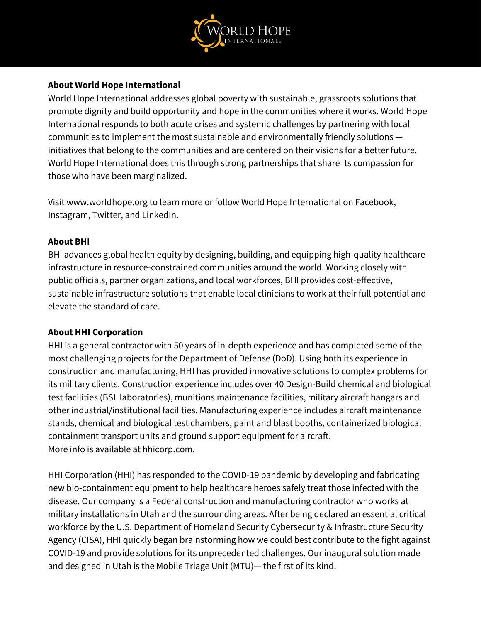

### **About World Hope International**

World Hope International addresses global poverty with sustainable, grassroots solutions that promote dignity and build opportunity and hope in the communities where it works. World Hope International responds to both acute crises and systemic challenges by partnering with local communities to implement the most sustainable and environmentally friendly solutions initiatives that belong to the communities and are centered on their visions for a better future. World Hope International does this through strong partnerships that share its compassion for those who have been marginalized.

Visit [www.worldhope.org](https://c212.net/c/link/?t=0&l=en&o=3264663-1&h=1798562144&u=http%3A%2F%2Fwww.worldhope.org%2F&a=www.worldhope.org) to learn more or follow World Hope International on [Facebook](https://c212.net/c/link/?t=0&l=en&o=3264663-1&h=2490261396&u=https%3A%2F%2Fwww.facebook.com%2Fworldhopeorg&a=Facebook), [Instagram](https://c212.net/c/link/?t=0&l=en&o=3264663-1&h=2459758701&u=https%3A%2F%2Fwww.instagram.com%2Fworldhopeorg%2F&a=Instagram), [Twitter,](https://c212.net/c/link/?t=0&l=en&o=3264663-1&h=3485510718&u=https%3A%2F%2Ftwitter.com%2Fworldhopeorg&a=Twitter) and [LinkedIn.](https://c212.net/c/link/?t=0&l=en&o=3264663-1&h=717268297&u=https%3A%2F%2Fwww.linkedin.com%2Fcompany%2Fworld-hope-international&a=LinkedIn)

### **About BHI**

BHI advances global health equity by designing, building, and equipping high-quality healthcare infrastructure in resource-constrained communities around the world. Working closely with public officials, partner organizations, and local workforces, BHI provides cost-effective, sustainable infrastructure solutions that enable local clinicians to work at their full potential and elevate the standard of care.

## **About HHI Corporation**

HHI is a general contractor with 50 years of in-depth experience and has completed some of the most challenging projects for the Department of Defense (DoD). Using both its experience in construction and manufacturing, HHI has provided innovative solutions to complex problems for its military clients. Construction experience includes over 40 Design-Build chemical and biological test facilities (BSL laboratories), munitions maintenance facilities, military aircraft hangars and other industrial/institutional facilities. Manufacturing experience includes aircraft maintenance stands, chemical and biological test chambers, paint and blast booths, containerized biological containment transport units and ground support equipment for aircraft. More info is available at [hhicorp.com](http://www.hhicorp.com/).

HHI Corporation (HHI) has responded to the COVID-19 pandemic by developing and fabricating new bio-containment equipment to help healthcare heroes safely treat those infected with the disease. Our company is a Federal construction and manufacturing contractor who works at military installations in Utah and the surrounding areas. After being declared an essential critical workforce by the U.S. Department of Homeland Security Cybersecurity & Infrastructure Security Agency (CISA), HHI quickly began brainstorming how we could best contribute to the fight against COVID-19 and provide solutions for its unprecedented challenges. Our inaugural solution made and designed in Utah is the Mobile Triage Unit (MTU)— the first of its kind.